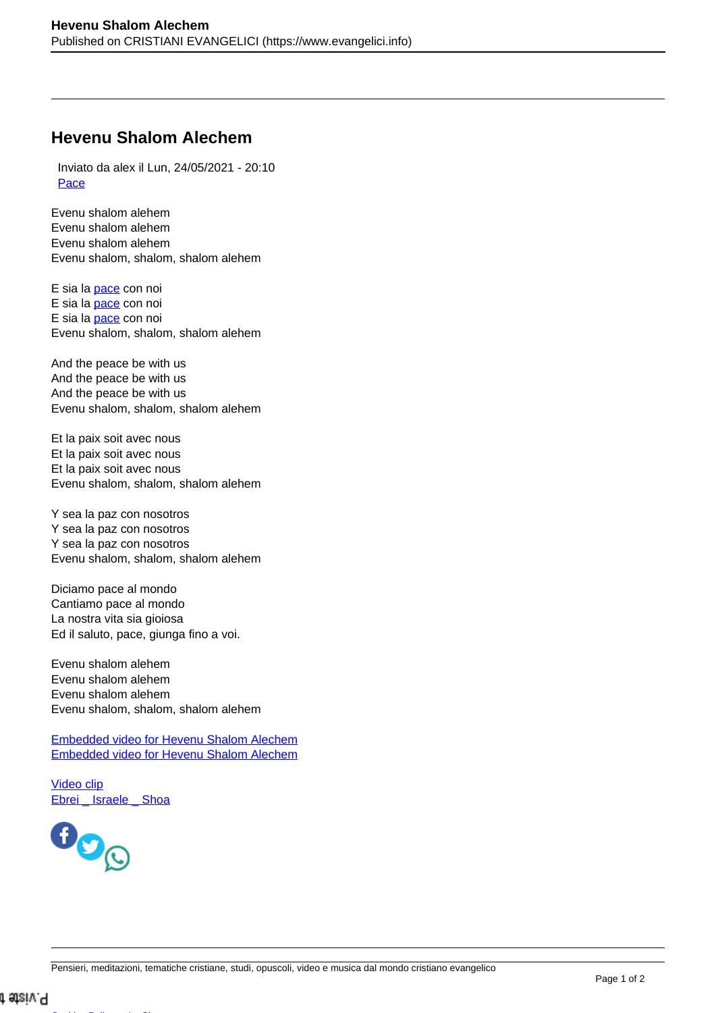## **Hevenu Shalom Alechem**

 Inviato da alex il Lun, 24/05/2021 - 20:10 [Pace](https://www.evangelici.info/studi-e-meditazioni/pace)

Evenu shalom alehem Evenu shalom alehem Evenu shalom alehem Evenu shalom, shalom, shalom alehem

E sia la [pace](https://www.evangelici.info/studi_biblici/pace) con noi E sia la [pace](https://www.evangelici.info/studi_biblici/pace) con noi E sia la [pace](https://www.evangelici.info/studi_biblici/pace) con noi Evenu shalom, shalom, shalom alehem

And the peace be with us And the peace be with us And the peace be with us Evenu shalom, shalom, shalom alehem

Et la paix soit avec nous Et la paix soit avec nous Et la paix soit avec nous Evenu shalom, shalom, shalom alehem

Y sea la paz con nosotros Y sea la paz con nosotros Y sea la paz con nosotros Evenu shalom, shalom, shalom alehem

Diciamo pace al mondo Cantiamo pace al mondo La nostra vita sia gioiosa Ed il saluto, pace, giunga fino a voi.

Evenu shalom alehem Evenu shalom alehem Evenu shalom alehem Evenu shalom, shalom, shalom alehem

[Embedded video for Hevenu Shalom Alechem](https://www.youtube-nocookie.com/embed/mZ_nbinWkvE?rel=0&modestbranding=1&theme=light&color=white&wmode=opaque&list=PLj0TgDFmEZ93ekANWlDEluJKajscAV2cz) [Embedded video for Hevenu Shalom Alechem](https://www.youtube-nocookie.com/embed/JB4RMIWroMY?rel=0&modestbranding=1&theme=light&color=white&wmode=opaque)

[Video clip](https://www.evangelici.info/audio-video-clip-canti-e-studi/video-clip) Ebrei Israele Shoa

[Cookies Policy](https://www.evangelici.info/cookies-policy-per-il-sito-web-laparolainfo) -- [La Sitemap](https://www.evangelici.info/sitemap.xml) --